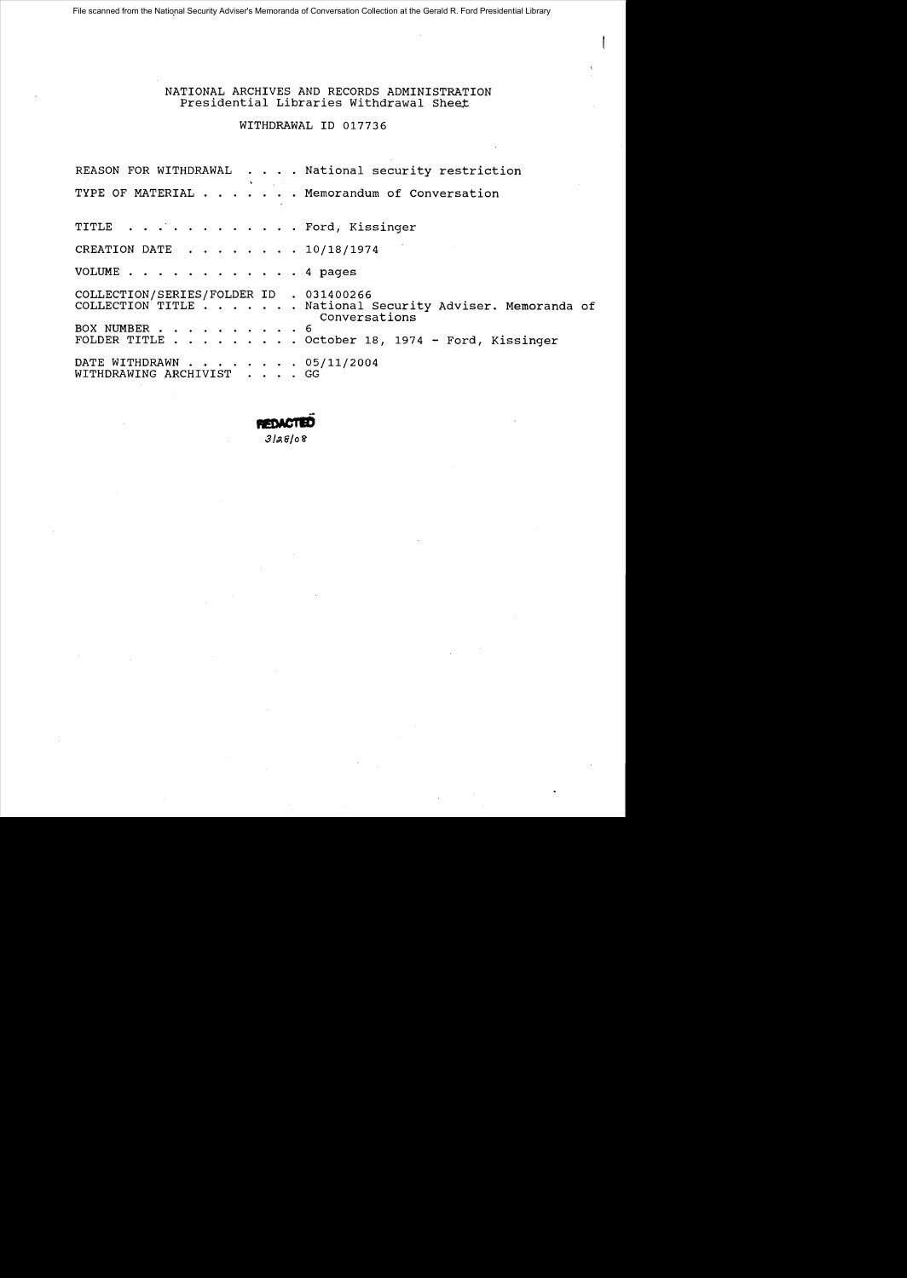File scanned from the National Security Adviser's Memoranda of Conversation Collection at the Gerald R. Ford Presidential Library

NATIONAL ARCHIVES AND RECORDS ADMINISTRATION Presidential Libraries Withdrawal Sheet

WITHDRAWAL 10 017736

|                                                              | REASON FOR WITHDRAWAL National security restriction                          |  |
|--------------------------------------------------------------|------------------------------------------------------------------------------|--|
|                                                              | the control of the control of<br>TYPE OF MATERIAL Memorandum of Conversation |  |
| TITLE Ford, Kissinger                                        |                                                                              |  |
| CREATION DATE $\ldots$ $\ldots$ $\ldots$ $\ldots$ 10/18/1974 |                                                                              |  |
| VOLUME 4 pages                                               |                                                                              |  |
| COLLECTION/SERIES/FOLDER ID . 031400266                      | COLLECTION TITLE National Security Adviser. Memoranda of<br>Conversations    |  |
| BOX NUMBER 6                                                 | FOLDER TITLE October 18, 1974 - Ford, Kissinger                              |  |
| DATE WITHDRAWN 05/11/2004<br>WITHDRAWING ARCHIVIST GG        |                                                                              |  |

**RET**  $3|38|08$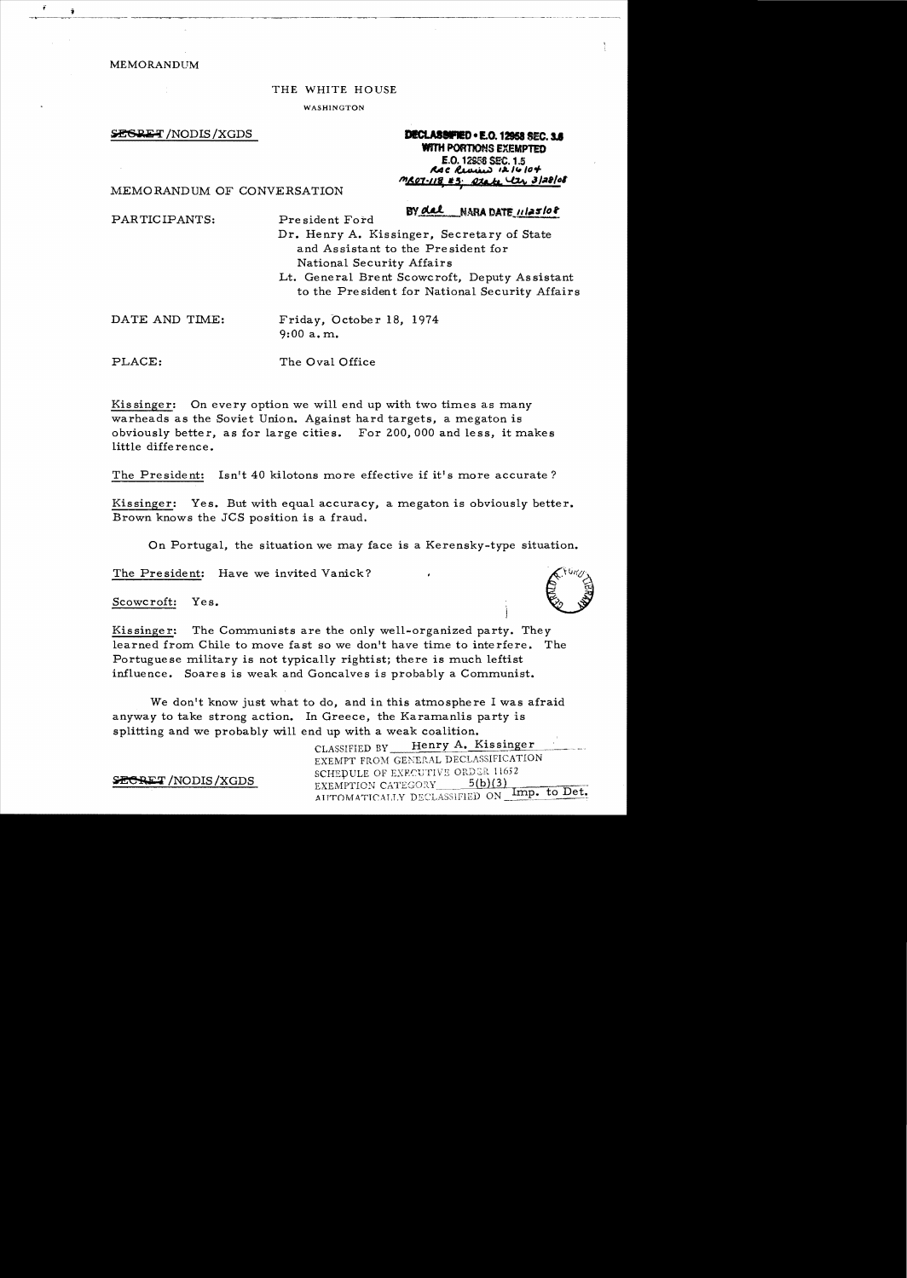MEMORANDUM

#### THE WHITE HOUSE

WASHINGTON

**SESRET** /NODIS /XGDS

DECLASSIFIED . E.O. 12958 SEC. 3.6 **WITH PORTIONS EXEMPTED** E.O. 12958 SEC. 1.5 RAC Review 12/6/04 MR07-118 #3. Otate Uzz 3/28/08

MEMORANDUM OF CONVERSATION

PARTICIPANTS: Pre sident Ford Dr. Henry A. Kissinger, Secretary of State and Assistant to the President for National Security Affairs Lt. General Brent Scowcroft, Deputy Assistant to the President for National Security Affairs DATE AND TIME: Friday, October 18, 1974 9:00 a. m.

PLACE: The Oval Office

Kissinger: On every option we will end up with two times as many warheads as the Soviet Union. Against hard targets, a megaton is obviously better, as for large cities. For 200,000 and less, it makes little difference.

The President: Isn't 40 kilotons more effective if it's more accurate?

Kissinger: Yes. But with equal accuracy, a megaton is obviously better. Brown knows the JCS position is a fraud.

On Portugal, the situation we may face is a Kerensky-type situation.

The President: Have we invited Vanick?

Scowcroft: Yes.

Kissinger: The Communists are the only well-organized party. They learned from Chile to move fast so we don't have time to interfere. The Portugue se military is not typically rightist; there is much leftist influence. Soares is weak and Goncalves is probably a Communist.

We don't know just what to do, and in this atmosphere I was afraid anyway to take strong action. In Greece, the Karamanlis party is splitting and we probably will end up with a weak coalition.

> CLASSIFIED BY Henry A. Kissinger EXEMPT FROM GENERAL DECLASSIFICATION SCHEDULE OF EXECUTIVE ORDER 11652 /NODIS/XGDS EXEMPTION CATEGORY 5(b)(3)<br>AUTOMATICALLY DECLASSIFIED ON Imp. to Det.



BY del NARA DATE 11125108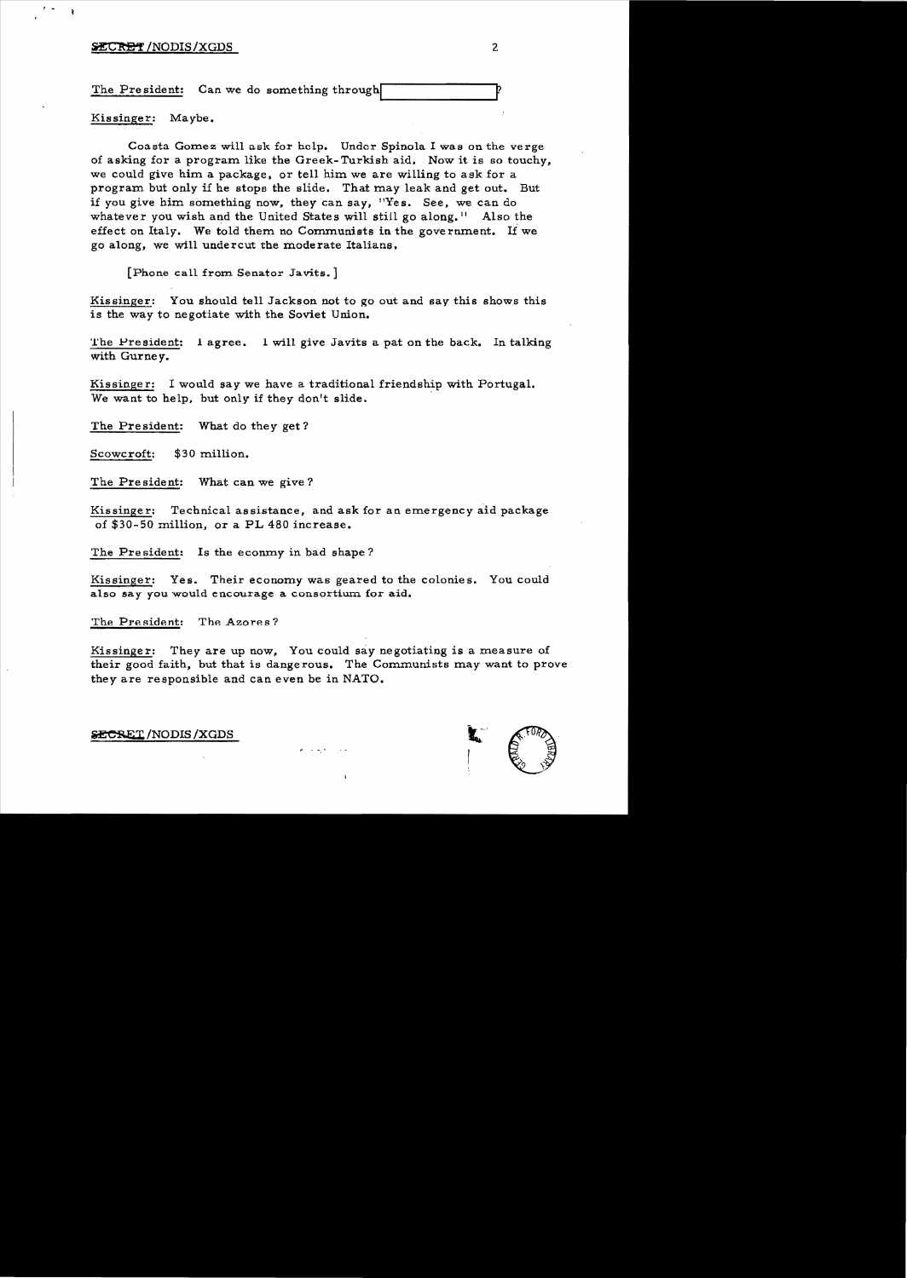# *INCRET* /NODIS/XGDS 2

f •

The President: Can we do something through

Kissinger: Maybe.

Coasta Gomez will ask for help. Under Spinola I was on the verge of asking for a program like the Greek-Turkish aid. Now it is so touchy, we could give him a package. or tell him we are willing to ask for a program but only if he stops the slide. That may leak and get out. But if you give him something now, they can say, 11Yes. See, we can do whatever you wish and the United States will still go along.<sup>11</sup> Also the effect on Italy. We told them no Communists in the government. If we go along, we will undercut the moderate Italians.

[Phone call from Senator Javits.]

Kissinger: You should tell Jackson not to go out and say this shows this is the way to negotiate with the Soviet Union.

The President: 1 agree. 1 will give Javits a pat on the back. In talking with Gurney\_

Kissinger: I would say we have a traditional friendship with Portugal. We want to help, but only if they don't slide.

The President: What do they get?

Scowcroft: \$30 million.

The President: What can we give?

Kissinger: Technical assistance, and ask for an emergency aid package of \$30-50 million, or a PL 480 increase.

The President: Is the econmy in bad shape?

Kissinger: Yes. Their economy was geared to the colonies. You could also say you would encourage a consortium for aid.

The President: The Azores?

Kissinger: They are up now, You could say negotiating is a measure of their good faith, but that is dangerous. The Communists may want to prove they are responsible and can even be in NATO.

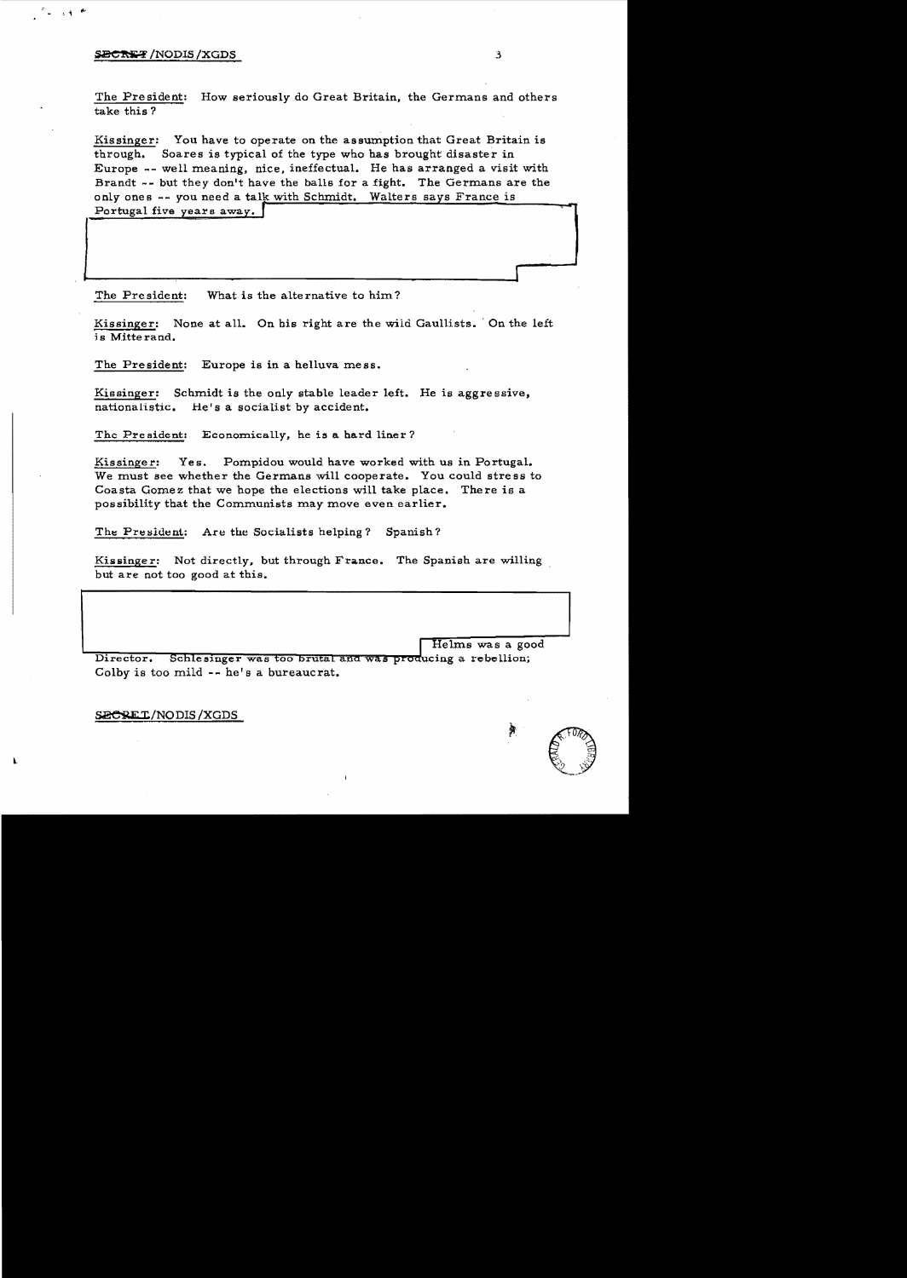# SECRET/NODIS/XGDS

 $\sim 30^{-10}$ 

The President: How seriously do Great Britain, the Germans and others take this?

Kissinger: You have to operate on the assumption that Great Britain is through. Soares is typical of the type who has brought disaster in Europe -- well meaning, nice, ineffectual. He has arranged a visit with Brandt -- but they don't have the balls for a fight. The Germans are the only ones -- you need a talk with Schmidt. Walters says France is Portugal five years away.

What is the alternative to him? The President:

Kissinger: None at all. On his right are the wild Gaullists. On the left is Mitterand.

The President: Europe is in a helluva mess.

Schmidt is the only stable leader left. He is aggressive, Kissinger: nationalistic. He's a socialist by accident.

The President: Economically, he is a hard liner?

Pompidou would have worked with us in Portugal. Kissinger: Yes. We must see whether the Germans will cooperate. You could stress to Coasta Gomez that we hope the elections will take place. There is a possibility that the Communists may move even earlier.

The President: Are the Socialists helping? Spanish?

Kissinger: Not directly, but through France. The Spanish are willing but are not too good at this.

Helms was a good Schlesinger was too brutal and was producing a rebellion; Director. Colby is too mild -- he's a bureaucrat.

SECREI/NODIS/XGDS

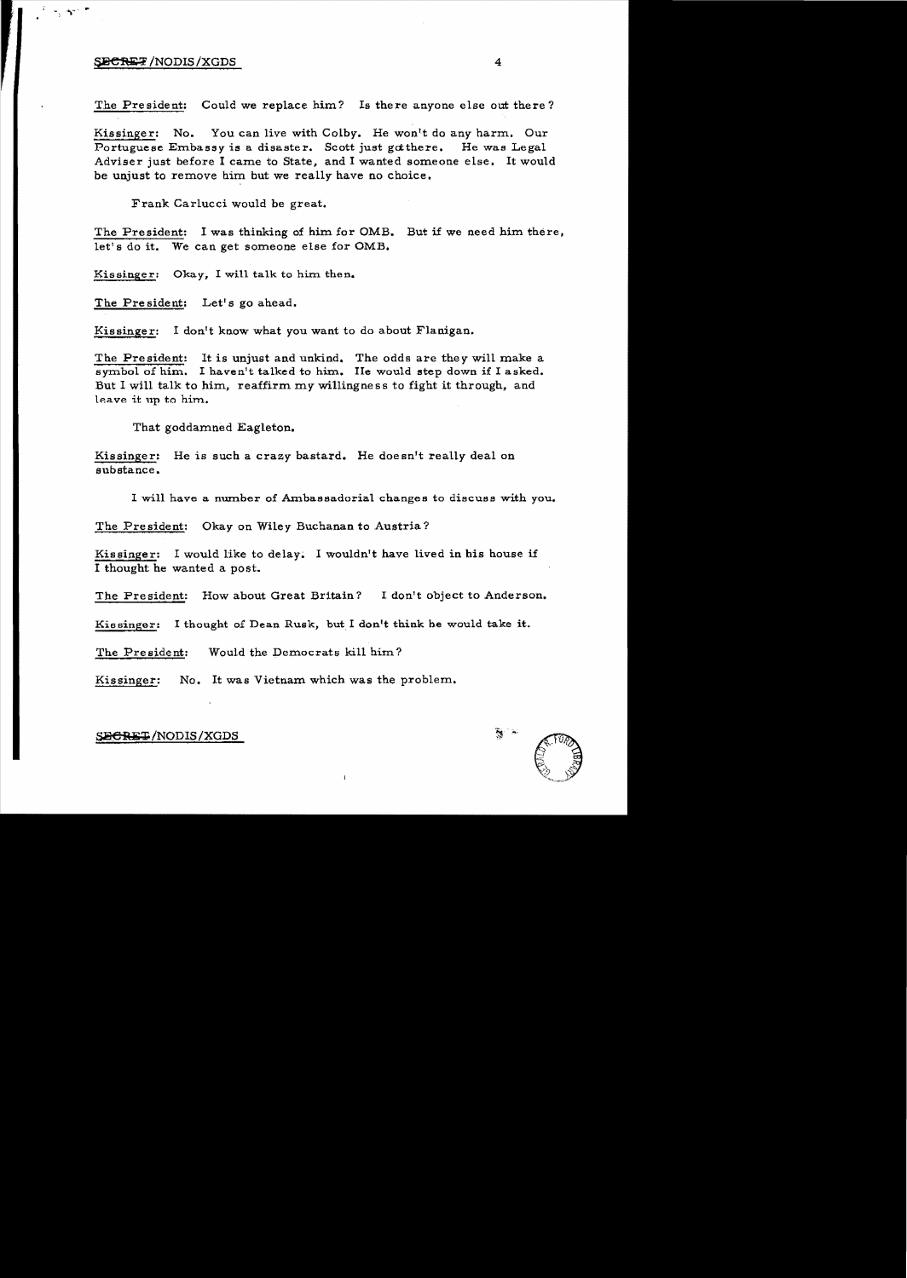# $\frac{1}{4}$   $\frac{1}{4}$   $\frac{1}{4}$   $\frac{1}{4}$   $\frac{1}{4}$   $\frac{1}{4}$   $\frac{1}{4}$   $\frac{1}{4}$   $\frac{1}{4}$   $\frac{1}{4}$   $\frac{1}{4}$   $\frac{1}{4}$   $\frac{1}{4}$   $\frac{1}{4}$   $\frac{1}{4}$   $\frac{1}{4}$   $\frac{1}{4}$   $\frac{1}{4}$   $\frac{1}{4}$   $\frac{1}{4}$   $\frac{1}{4}$   $\frac{1}{4}$

 $\sim$  ,  $\sim$  .

The President: Could we replace him? Is there anyone else out there?

Kissinger: No. You can live with Colby. He won't do any harm. Our Portuguese Embassy is a disaster. Scott just gotthere. He was Legal Adviser just before I came to State, and I wanted someone else. It would be unjust to remove him but we really have no choice.

Frank Carlucci would be great.

The President: I was thinking of him for OMB. But if we need him there, let's do it. We can get someone else for OMB.

Kissinger: Okay, I will talk to him then.

The President: Let's go ahead.

Kissinger: I don't know what you want to do about Flanigan.

The President: It is unjust and unkind. The odds are they will make a symbol of him. I haven't talked to him. IIe would step down if I asked. But I will talk to him, reaffirm my willingness to fight it through, and leave it up to him..

That goddamned Eagleton.

Kissinger: He is such a crazy bastard. He doesn't really deal on substance.

I will have a number of Ambassadorial changes to discuss with you.

The President: Okay on Wiley Buchanan to Austria?

Kissinger: I would like to delay. I wouldn't have lived in his house if I thought he wanted a post.

The President: How about Great Britain? I don't object to Anderson.

Kissinger: I thought of Dean Rusk, but I don't think he would take it.

The President: Would the Democrats kill him?

Kissinger: No. It was Vietnam which was the problem.

# SECRET/NODIS/XGDS